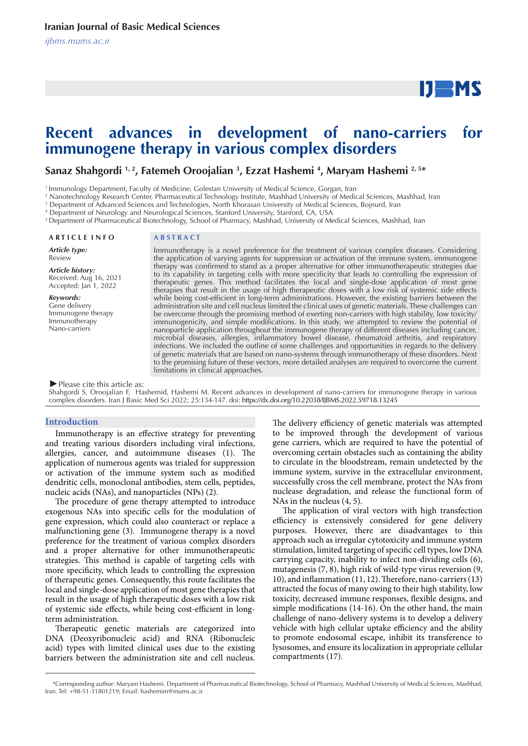# **IJEMS**

## **Recent advances in development of nano-carriers for immunogene therapy in various complex disorders**

### **Sanaz Shahgordi 1, 2, Fatemeh Oroojalian 3 , Ezzat Hashemi 4 , Maryam Hashemi 2, 5\***

<sup>1</sup> Immunology Department, Faculty of Medicine, Golestan University of Medical Science, Gorgan, Iran

2 Nanotechnology Research Center, Pharmaceutical Technology Institute, Mashhad University of Medical Sciences, Mashhad, Iran

3 Department of Advanced Sciences and Technologies, North Khorasan University of Medical Sciences, Bojnurd, Iran

4 Department of Neurology and Neurological Sciences, Stanford University, Stanford, CA, USA

5 Department of Pharmaceutical Biotechnology, School of Pharmacy, Mashhad, University of Medical Sciences, Mashhad, Iran

#### **A R T I C L E I N F O A B S T R A C T**

*Article type:*

Review

*Article history:* Received: Aug 16, 2021 Accepted: Jan 1, 2022

#### *Keywords:*

Gene delivery Immunogene therapy Immunotherapy Nano-carriers

Immunotherapy is a novel preference for the treatment of various complex diseases. Considering the application of varying agents for suppression or activation of the immune system, immunogene therapy was confirmed to stand as a proper alternative for other immunotherapeutic strategies due to its capability in targeting cells with more specificity that leads to controlling the expression of therapeutic genes. This method facilitates the local and single-dose application of most gene therapies that result in the usage of high therapeutic doses with a low risk of systemic side effects while being cost-efficient in long-term administrations. However, the existing barriers between the administration site and cell nucleus limited the clinical uses of genetic materials. These challenges can administration site and cell nucleus limited the clinical uses of genetic materials. These challenges can be overcome through the promising method of exerting non-carriers with high stability, low toxicity/ immunogenicity, and simple modifications. In this study, we attempted to review the potential of nanoparticle application throughout the immunogene therapy of different diseases including cancer, microbial diseases, allergies, inflammatory bowel disease, rheumatoid arthritis, and respiratory infections. We included the outline of some challenges and opportunities in regards to the delivery of genetic materials that are based on nano-systems through immunotherapy of these disorders. Next to the promising future of these vectors, more detailed analyses are required to overcome the current limitations in clinical approaches.

#### *►*Please cite this article as:

Shahgordi S, Oroojalian F, Hashemid, Hashemi M. Recent advances in development of nano-carriers for immunogene therapy in various complex disorders. Iran J Basic Med Sci 2022; 25:134-147. doi: https://dx.doi.org/10.22038/IJBMS.2022.59718.13245

#### **Introduction**

Immunotherapy is an effective strategy for preventing and treating various disorders including viral infections, allergies, cancer, and autoimmune diseases (1). The application of numerous agents was trialed for suppression or activation of the immune system such as modified dendritic cells, monoclonal antibodies, stem cells, peptides, nucleic acids (NAs), and nanoparticles (NPs) (2).

The procedure of gene therapy attempted to introduce exogenous NAs into specific cells for the modulation of gene expression, which could also counteract or replace a malfunctioning gene (3). Immunogene therapy is a novel preference for the treatment of various complex disorders and a proper alternative for other immunotherapeutic strategies. This method is capable of targeting cells with more specificity, which leads to controlling the expression of therapeutic genes. Consequently, this route facilitates the local and single-dose application of most gene therapies that result in the usage of high therapeutic doses with a low risk of systemic side effects, while being cost-efficient in longterm administration.

Therapeutic genetic materials are categorized into DNA (Deoxyribonucleic acid) and RNA (Ribonucleic acid) types with limited clinical uses due to the existing barriers between the administration site and cell nucleus. The delivery efficiency of genetic materials was attempted to be improved through the development of various gene carriers, which are required to have the potential of overcoming certain obstacles such as containing the ability to circulate in the bloodstream, remain undetected by the immune system, survive in the extracellular environment, successfully cross the cell membrane, protect the NAs from nuclease degradation, and release the functional form of NAs in the nucleus (4, 5).

The application of viral vectors with high transfection efficiency is extensively considered for gene delivery purposes. However, there are disadvantages to this approach such as irregular cytotoxicity and immune system stimulation, limited targeting of specific cell types, low DNA carrying capacity, inability to infect non-dividing cells (6), mutagenesis (7, 8), high risk of wild-type virus reversion (9, 10), and inflammation (11, 12). Therefore, nano-carriers (13) attracted the focus of many owing to their high stability, low toxicity, decreased immune responses, flexible designs, and simple modifications (14-16). On the other hand, the main challenge of nano-delivery systems is to develop a delivery vehicle with high cellular uptake efficiency and the ability to promote endosomal escape, inhibit its transference to lysosomes, and ensure its localization in appropriate cellular compartments (17).

 <sup>\*</sup>Corresponding author: Maryam Hashemi. Department of Pharmaceutical Biotechnology, School of Pharmacy, Mashhad University of Medical Sciences, Mashhad, Iran. Tel: +98-51-31801219; Email: hashemim@mums.ac.ir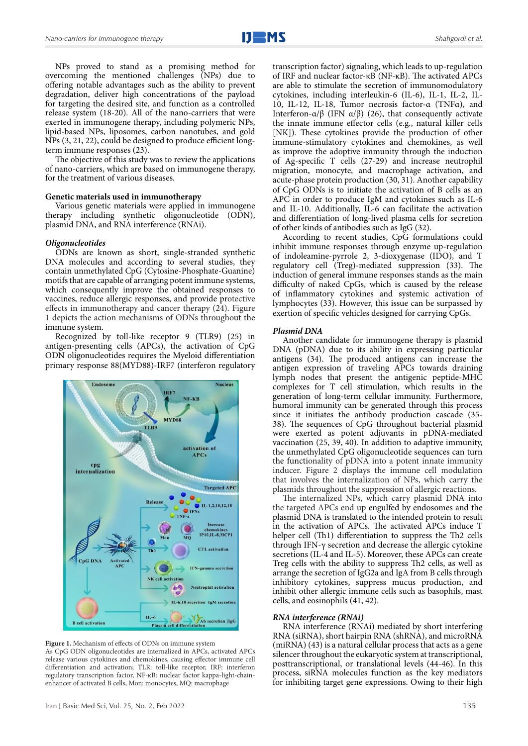NPs proved to stand as a promising method for overcoming the mentioned challenges (NPs) due to offering notable advantages such as the ability to prevent degradation, deliver high concentrations of the payload for targeting the desired site, and function as a controlled release system (18-20). All of the nano-carriers that were exerted in immunogene therapy, including polymeric NPs, lipid-based NPs, liposomes, carbon nanotubes, and gold NPs (3, 21, 22), could be designed to produce efficient longterm immune responses (23).

The objective of this study was to review the applications of nano-carriers, which are based on immunogene therapy, for the treatment of various diseases.

#### **Genetic materials used in immunotherapy**

Various genetic materials were applied in immunogene therapy including synthetic oligonucleotide (ODN), plasmid DNA, and RNA interference (RNAi).

#### *Oligonucleotides*

ODNs are known as short, single-stranded synthetic DNA molecules and according to several studies, they contain unmethylated CpG (Cytosine-Phosphate-Guanine) motifs that are capable of arranging potent immune systems, which consequently improve the obtained responses to vaccines, reduce allergic responses, and provide protective effects in immunotherapy and cancer therapy  $(24)$ . Figure 1 depicts the action mechanisms of ODNs throughout the immune system.

Recognized by toll-like receptor 9 (TLR9) (25) in antigen-presenting cells (APCs), the activation of CpG ODN oligonucleotides requires the Myeloid differentiation primary response 88(MYD88)-IRF7 (interferon regulatory





As CpG ODN oligonucleotides are internalized in APCs, activated APCs release various cytokines and chemokines, causing effector immune cell differentiation and activation; TLR: toll-like receptor, IRF: interferon regulatory transcription factor, NF-κB: nuclear factor kappa-light-chainenhancer of activated B cells, Mon: monocytes, MQ: macrophage

transcription factor) signaling, which leads to up-regulation of IRF and nuclear factor-κB (NF-κB). The activated APCs are able to stimulate the secretion of immunomodulatory cytokines, including interleukin-6 (IL-6), IL-1, IL-2, IL-10, IL-12, IL-18, Tumor necrosis factor-α (TNFα), and Interferon-α/β (IFN α/β) (26), that consequently activate the innate immune effector cells (e.g., natural killer cells [NK]). These cytokines provide the production of other immune-stimulatory cytokines and chemokines, as well as improve the adoptive immunity through the induction of Ag-specific T cells (27-29) and increase neutrophil migration, monocyte, and macrophage activation, and acute-phase protein production (30, 31). Another capability of CpG ODNs is to initiate the activation of B cells as an APC in order to produce IgM and cytokines such as IL-6 and IL-10. Additionally, IL-6 can facilitate the activation and differentiation of long-lived plasma cells for secretion of other kinds of antibodies such as IgG (32).

According to recent studies, CpG formulations could inhibit immune responses through enzyme up-regulation of indoleamine-pyrrole 2, 3-dioxygenase (IDO), and T regulatory cell (Treg)-mediated suppression (33). The induction of general immune responses stands as the main difficulty of naked CpGs, which is caused by the release of inflammatory cytokines and systemic activation of lymphocytes (33). However, this issue can be surpassed by exertion of specific vehicles designed for carrying CpGs.

#### *Plasmid DNA*

Another candidate for immunogene therapy is plasmid DNA (pDNA) due to its ability in expressing particular antigens (34). The produced antigens can increase the antigen expression of traveling APCs towards draining lymph nodes that present the antigenic peptide-MHC complexes for T cell stimulation, which results in the generation of long-term cellular immunity. Furthermore, humoral immunity can be generated through this process since it initiates the antibody production cascade (35- 38). The sequences of CpG throughout bacterial plasmid were exerted as potent adjuvants in pDNA-mediated vaccination (25, 39, 40). In addition to adaptive immunity, the unmethylated CpG oligonucleotide sequences can turn the functionality of pDNA into a potent innate immunity inducer. Figure 2 displays the immune cell modulation that involves the internalization of NPs, which carry the plasmids throughout the suppression of allergic reactions.

The internalized NPs, which carry plasmid DNA into the targeted APCs end up engulfed by endosomes and the plasmid DNA is translated to the intended protein to result in the activation of APCs. The activated APCs induce T helper cell (Th1) differentiation to suppress the Th2 cells through IFN-γ secretion and decrease the allergic cytokine secretions (IL-4 and IL-5). Moreover, these APCs can create Treg cells with the ability to suppress Th2 cells, as well as arrange the secretion of IgG2a and IgA from B cells through inhibitory cytokines, suppress mucus production, and inhibit other allergic immune cells such as basophils, mast cells, and eosinophils (41, 42).

#### *RNA interference (RNAi)*

RNA interference (RNAi) mediated by short interfering RNA (siRNA), short hairpin RNA (shRNA), and microRNA (miRNA) (43) is a natural cellular process that acts as a gene silencer throughout the eukaryotic system at transcriptional, posttranscriptional, or translational levels (44-46). In this process, siRNA molecules function as the key mediators for inhibiting target gene expressions. Owing to their high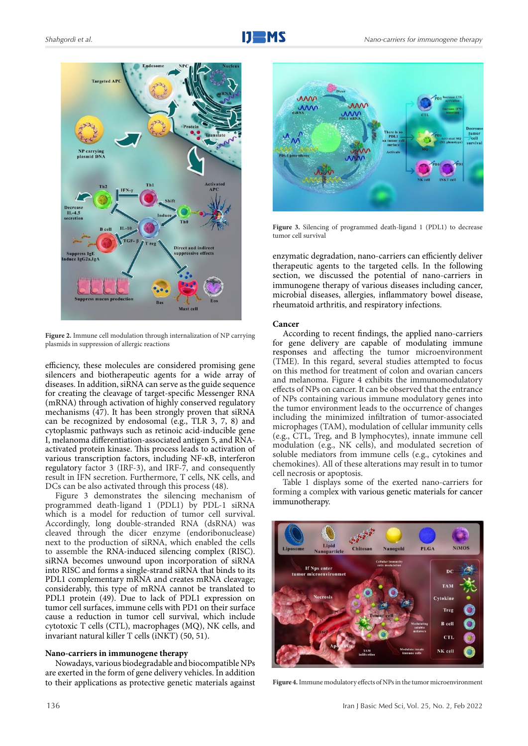

**Figure 2.** Immune cell modulation through internalization of NP carrying plasmids in suppression of allergic reactions

efficiency, these molecules are considered promising gene silencers and biotherapeutic agents for a wide array of diseases. In addition,  $s\ddot{R}NA$  can serve as the guide sequence for creating the cleavage of target-specific Messenger RNA (mRNA) through activation of highly conserved regulatory mechanisms (47). It has been strongly proven that siRNA can be recognized by endosomal (e.g., TLR 3, 7, 8) and cytoplasmic pathways such as retinoic acid-inducible gene I, melanoma differentiation-associated antigen 5, and RNAactivated protein kinase. This process leads to activation of various transcription factors, including NF-κB, interferon regulatory factor 3 (IRF-3), and IRF-7, and consequently result in IFN secretion. Furthermore, T cells, NK cells, and DCs can be also activated through this process (48).

Figure 3 demonstrates the silencing mechanism of programmed death-ligand 1 (PDL1) by PDL-1 siRNA which is a model for reduction of tumor cell survival. Accordingly, long double-stranded RNA (dsRNA) was cleaved through the dicer enzyme (endoribonuclease) next to the production of siRNA, which enabled the cells to assemble the RNA-induced silencing complex (RISC). siRNA becomes unwound upon incorporation of siRNA into RISC and forms a single-strand siRNA that binds to its PDL1 complementary mRNA and creates mRNA cleavage; considerably, this type of mRNA cannot be translated to PDL1 protein (49). Due to lack of PDL1 expression on tumor cell surfaces, immune cells with PD1 on their surface cause a reduction in tumor cell survival, which include cytotoxic T cells (CTL), macrophages (MQ), NK cells, and invariant natural killer T cells (iNKT) (50, 51).

#### **Nano-carriers in immunogene therapy**

Nowadays, various biodegradable and biocompatible NPs are exerted in the form of gene delivery vehicles. In addition to their applications as protective genetic materials against



**Figure 3.** Silencing of programmed death-ligand 1 (PDL1) to decrease tumor cell survival

enzymatic degradation, nano-carriers can efficiently deliver therapeutic agents to the targeted cells. In the following section, we discussed the potential of nano-carriers in immunogene therapy of various diseases including cancer, microbial diseases, allergies, inflammatory bowel disease, rheumatoid arthritis, and respiratory infections.

#### **Cancer**

According to recent findings, the applied nano-carriers for gene delivery are capable of modulating immune responses and affecting the tumor microenvironment (TME). In this regard, several studies attempted to focus on this method for treatment of colon and ovarian cancers and melanoma. Figure 4 exhibits the immunomodulatory effects of NPs on cancer. It can be observed that the entrance of NPs containing various immune modulatory genes into the tumor environment leads to the occurrence of changes including the minimized infiltration of tumor-associated microphages (TAM), modulation of cellular immunity cells (e.g., CTL, Treg, and B lymphocytes), innate immune cell modulation (e.g., NK cells), and modulated secretion of soluble mediators from immune cells (e.g., cytokines and chemokines). All of these alterations may result in to tumor cell necrosis or apoptosis.

Table 1 displays some of the exerted nano-carriers for forming a complex with various genetic materials for cancer immunotherapy.



**Figure 4.** Immune modulatory effects of NPs in the tumor microenvironment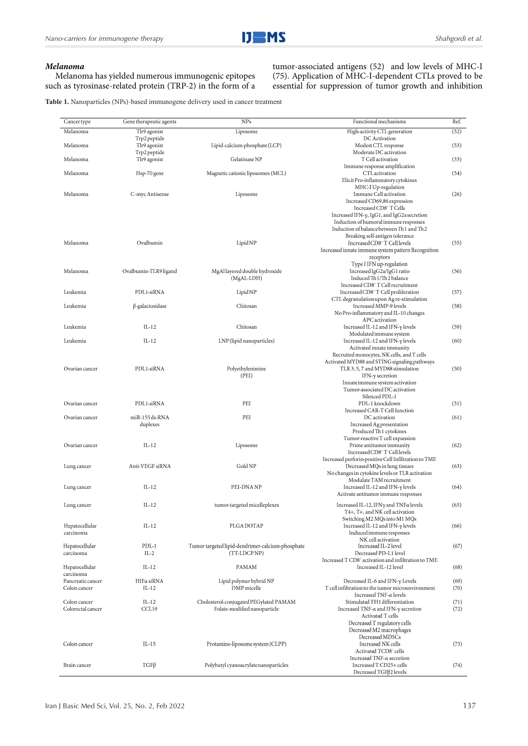#### *Melanoma*

Melanoma has yielded numerous immunogenic epitopes such as tyrosinase-related protein (TRP-2) in the form of a tumor-associated antigens (52) and low levels of MHC-I (75). Application of MHC-I-dependent CTLs proved to be essential for suppression of tumor growth and inhibition

**Table 1.** Nanoparticles (NPs)-based immunogene delivery used in cancer treatment

| Cancer type                    | Gene therapeutic agents | <b>NPs</b>                                       | Functional mechanisms                                                             | Ref. |
|--------------------------------|-------------------------|--------------------------------------------------|-----------------------------------------------------------------------------------|------|
| Melanoma                       | Tlr9 agonist            | Liposome                                         | High-activity CTL generation                                                      | (52) |
|                                | Trp2 peptide            |                                                  | DC Activation                                                                     |      |
| Melanoma                       | Tlr9 agonist            | Lipid-calcium-phosphate (LCP)                    | Modest CTL response                                                               | (53) |
|                                | Trp2 peptide            |                                                  | Moderate DC activation                                                            |      |
| Melanoma                       | Tlr9 agonist            | Gelatinase NP                                    | T Cell activation<br>Immune response amplification                                | (33) |
| Melanoma                       | Hsp-70 gene             | Magnetic cationic liposomes (MCL)                | <b>CTL</b> activation                                                             | (54) |
|                                |                         |                                                  | Elicit Pro-inflammatory cytokines                                                 |      |
|                                |                         |                                                  | MHC-I Up-regulation                                                               |      |
| Melanoma                       | C-myc Antisense         | Liposome                                         | Immune Cell activation                                                            | (26) |
|                                |                         |                                                  | Increased CD69,86 expression<br>Increased CD8 <sup>+</sup> T Cells                |      |
|                                |                         |                                                  | Increased IFN-γ, IgG1, and IgG2a secretion                                        |      |
|                                |                         |                                                  | Induction of humoral immune responses                                             |      |
|                                |                         |                                                  | Induction of balance between Th1 and Th2                                          |      |
| Melanoma                       | Ovalbumin               | Lipid NP                                         | Breaking self-antigen tolerance<br>Increased CD8+T Cell levels                    | (55) |
|                                |                         |                                                  | Increased innate immune system pattern Recognition                                |      |
|                                |                         |                                                  | receptors                                                                         |      |
|                                |                         |                                                  | Type I IFN up-regulation                                                          |      |
| Melanoma                       | Ovalbumin-TLR9 ligand   | MgAl layered double hydroxide                    | Increased IgG2a/IgG1 ratio                                                        | (56) |
|                                |                         | (MgAL-LDH)                                       | Induced Th1/Th2 balance<br>Increased CD8+T Cell recruitment                       |      |
| Leukemia                       | PDL1-siRNA              | Lipid NP                                         | Increased CD8+T Cell proliferation                                                | (57) |
|                                |                         |                                                  | CTL degranulation upon Ag re-stimulation                                          |      |
| Leukemia                       | β-galactosidase         | Chitosan                                         | Increased MMP-9 levels                                                            | (58) |
|                                |                         |                                                  | No Pro-inflammatory and IL-10 changes                                             |      |
| Leukemia                       | $IL-12$                 | Chitosan                                         | APC activation<br>Increased IL-12 and IFN- $\gamma$ levels                        | (59) |
|                                |                         |                                                  | Modulated immune system                                                           |      |
| Leukemia                       | $IL-12$                 | LNP (lipid nanoparticles)                        | Increased IL-12 and IFN-γ levels                                                  | (60) |
|                                |                         |                                                  | Activated innate immunity                                                         |      |
|                                |                         |                                                  | Recruited monocytes, NK cells, and T cells                                        |      |
| Ovarian cancer                 | PDL1-siRNA              | Polyethylenimine                                 | Activated MYD88 and STING signaling pathways<br>TLR 3, 5, 7 and MYD88 stimulation | (50) |
|                                |                         | (PEI)                                            | IFN- $\gamma$ secretion                                                           |      |
|                                |                         |                                                  | Innate immune system activation                                                   |      |
|                                |                         |                                                  | Tumor-associated DC activation                                                    |      |
| Ovarian cancer                 | PDL1-siRNA              | PEI                                              | Silenced PDL-1<br>PDL-1 knockdown                                                 |      |
|                                |                         |                                                  | Increased CAR-T Cell function                                                     | (51) |
| Ovarian cancer                 | miR-155 ds-RNA          | PEI                                              | DC activation                                                                     | (61) |
|                                | duplexes                |                                                  | Increased Ag presentation                                                         |      |
|                                |                         |                                                  | Produced Th1 cytokines                                                            |      |
| Ovarian cancer                 | $IL-12$                 | Liposome                                         | Tumor-reactive T cell expansion<br>Prime antitumor immunity                       | (62) |
|                                |                         |                                                  | Increased CD8+T Cell levels                                                       |      |
|                                |                         |                                                  | Increased perforin-positive Cell Infiltration to TME                              |      |
| Lung cancer                    | Anti-VEGF siRNA         | Gold NP                                          | Decreased MQs in lung tissues                                                     | (63) |
|                                |                         |                                                  | No changes in cytokine levels or TLR activation                                   |      |
| Lung cancer                    | $IL-12$                 | PEI-DNA NP                                       | Modulate TAM recruitment<br>Increased IL-12 and IFN-γ levels                      | (64) |
|                                |                         |                                                  | Activate antitumor immune responses                                               |      |
| Lung cancer                    | $IL-12$                 | tumor-targeted micelleplexes                     | Increased IL-12, IFNy and TNFa levels                                             | (65) |
|                                |                         |                                                  | T4+, T+, and NK cell activation                                                   |      |
|                                |                         |                                                  | Switching M2 MQs into M1 MQs                                                      |      |
| Hepatocellular                 | $IL-12$                 | PLGA DOTAP                                       | Increased IL-12 and IFN-γ levels                                                  | (66) |
| carcinoma                      |                         |                                                  | Induced immune responses<br>NK cell activation                                    |      |
| Hepatocellular                 | PDL-1                   | Tumor targeted lipid-dendrimer-calcium-phosphate | Increased IL-2 level                                                              | (67) |
| carcinoma                      | $IL-2$                  | (TT-LDCP NP)                                     | Decreased PD-L1 level                                                             |      |
|                                |                         |                                                  | Increased T CD8 <sup>+</sup> activation and infiltration to TME                   |      |
| Hepatocellular                 | $IL-12$                 | PAMAM                                            | Increased IL-12 level                                                             | (68) |
| carcinoma<br>Pancreatic cancer | HIFα siRNA              | Lipid polymer hybrid NP                          | Decreased IL-6 and IFN-γ Levels                                                   | (69) |
| Colon cancer                   | IL-12                   | DMP micelle                                      | T cell infiltration to the tumor microenvironment                                 | (70) |
|                                |                         |                                                  | Increased TNF-α levels                                                            |      |
| Colon cancer                   | $IL-12$                 | Cholesterol-conjugated PEGylated PAMAM           | Stimulated TH1 differentiation                                                    | (71) |
| Colorectal cancer              | CCL19                   | Folate-modified nanoparticle                     | Increased TNF-α and IFN-γ secretion                                               | (72) |
|                                |                         |                                                  | Activated T cells<br>Decreased T regulatory cells                                 |      |
|                                |                         |                                                  | Decreased M2 macrophages                                                          |      |
|                                |                         |                                                  | Decreased MDSCs                                                                   |      |
| Colon cancer                   | $IL-15$                 | Protamine-liposome system (CLPP)                 | Increased NK cells                                                                | (73) |
|                                |                         |                                                  | Activated TCD8+ cells<br>Increased TNF-a secretion                                |      |
| Brain cancer                   | $TGF\beta$              | Polybutyl cyanoacrylate nanoparticles            | Increased T CD25+ cells                                                           | (74) |
|                                |                         |                                                  | Decreased TGFB2 levels                                                            |      |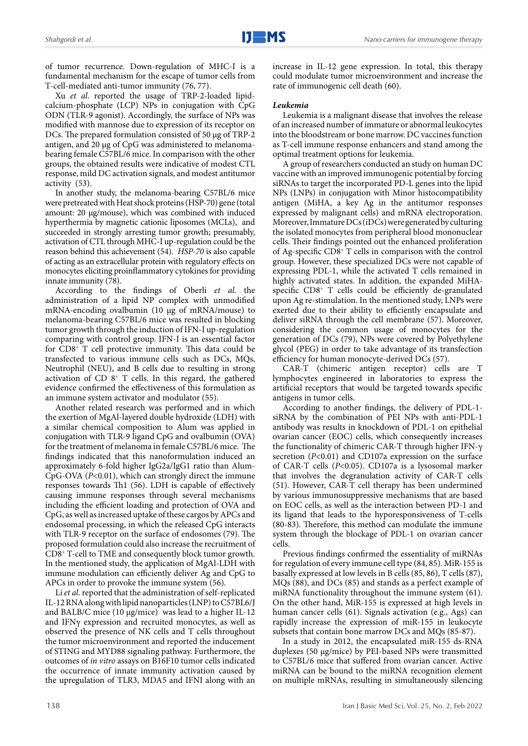of tumor recurrence. Down-regulation of MHC-I is a fundamental mechanism for the escape of tumor cells from T-cell-mediated anti-tumor immunity (76, 77).

Xu *et al*. reported the usage of TRP-2-loaded lipidcalcium-phosphate (LCP) NPs in conjugation with CpG ODN (TLR-9 agonist). Accordingly, the surface of NPs was modified with mannose due to expression of its receptor on DCs. The prepared formulation consisted of 50 µg of TRP-2 antigen, and 20 µg of CpG was administered to melanomabearing female C57BL/6 mice. In comparison with the other groups, the obtained results were indicative of modest CTL response, mild DC activation signals, and modest antitumor activity (53).

In another study, the melanoma-bearing C57BL/6 mice were pretreated with Heat shock proteins (HSP-70) gene (total amount: 20 µg/mouse), which was combined with induced hyperthermia by magnetic cationic liposomes (MCLs), and succeeded in strongly arresting tumor growth; presumably, activation of CTL through MHC-I up-regulation could be the reason behind this achievement (54). *HSP-70* is also capable of acting as an extracellular protein with regulatory effects on monocytes eliciting proinflammatory cytokines for providing innate immunity (78).

According to the findings of Oberli *et al*. the administration of a lipid NP complex with unmodified mRNA-encoding ovalbumin (10 µg of mRNA/mouse) to melanoma-bearing C57BL/6 mice was resulted in blocking tumor growth through the induction of IFN-I up-regulation comparing with control group. IFN-I is an essential factor for CD8<sup>+</sup> T cell protective immunity. This data could be transfected to various immune cells such as DCs, MQs, Neutrophil (NEU), and B cells due to resulting in strong activation of CD  $8$ <sup>+</sup> T cells. In this regard, the gathered evidence confirmed the effectiveness of this formulation as an immune system activator and modulator (55).

Another related research was performed and in which the exertion of MgAl-layered double hydroxide (LDH) with a similar chemical composition to Alum was applied in conjugation with TLR-9 ligand CpG and ovalbumin (OVA) for the treatment of melanoma in female C57BL/6 mice. The findings indicated that this nanoformulation induced an approximately 6-fold higher IgG2a/IgG1 ratio than Alum-CpG-OVA (*P*<0.01), which can strongly direct the immune responses towards Th1 (56). LDH is capable of effectively causing immune responses through several mechanisms including the efficient loading and protection of OVA and CpG, as well as increased uptake of these cargos by APCs and endosomal processing, in which the released CpG interacts with TLR-9 receptor on the surface of endosomes (79). The proposed formulation could also increase the recruitment of CD8<sup>+</sup> T-cell to TME and consequently block tumor growth. In the mentioned study, the application of MgAl-LDH with immune modulation can efficiently deliver Ag and CpG to APCs in order to provoke the immune system (56).

Li *et al*. reported that the administration of self-replicated IL-12 RNA along with lipid nanoparticles (LNP) to C57BL6/J and BALB/C mice (10 µg/mice) was lead to a higher IL-12 and IFNγ expression and recruited monocytes, as well as observed the presence of NK cells and T cells throughout the tumor microenvironment and reported the inducement of STING and MYD88 signaling pathway. Furthermore, the outcomes of *in vitro* assays on B16F10 tumor cells indicated the occurrence of innate immunity activation caused by the upregulation of TLR3, MDA5 and IFNI along with an

increase in IL-12 gene expression. In total, this therapy could modulate tumor microenvironment and increase the rate of immunogenic cell death (60).

#### *Leukemia*

Leukemia is a malignant disease that involves the release of an increased number of immature or abnormal leukocytes into the bloodstream or bone marrow. DC vaccines function as T-cell immune response enhancers and stand among the optimal treatment options for leukemia.

A group of researchers conducted an study on human DC vaccine with an improved immunogenic potential by forcing siRNAs to target the incorporated PD-L genes into the lipid NPs (LNPs) in conjugation with Minor histocompatibility antigen (MiHA, a key Ag in the antitumor responses expressed by malignant cells) and mRNA electroporation. Moreover, Immature DCs (iDCs) were generated by culturing the isolated monocytes from peripheral blood mononuclear cells. Their findings pointed out the enhanced proliferation of Ag-specific CD8<sup>+</sup>T cells in comparison with the control group. However, these specialized DCs were not capable of expressing PDL-1, while the activated T cells remained in highly activated states. In addition, the expanded MiHAspecific  $CD8<sup>+</sup>$  T cells could be efficiently de-granulated upon Ag re-stimulation. In the mentioned study, LNPs were exerted due to their ability to efficiently encapsulate and deliver siRNA through the cell membrane (57). Moreover, considering the common usage of monocytes for the generation of DCs (79), NPs were covered by Polyethylene glycol (PEG) in order to take advantage of its transfection efficiency for human monocyte-derived DCs (57).

CAR-T (chimeric antigen receptor) cells are T lymphocytes engineered in laboratories to express the artificial receptors that would be targeted towards specific antigens in tumor cells.

According to another findings, the delivery of PDL-1 siRNA by the combination of PEI NPs with anti-PDL-1 antibody was results in knockdown of PDL-1 on epithelial ovarian cancer (EOC) cells, which consequently increases the functionality of chimeric CAR-T through higher IFN-γ secretion (*P*<0.01) and CD107a expression on the surface of CAR-T cells (*P*<0.05). CD107a is a lysosomal marker that involves the degranulation activity of CAR-T cells (51). However, CAR-T cell therapy has been undermined by various immunosuppressive mechanisms that are based on EOC cells, as well as the interaction between PD-1 and its ligand that leads to the hyporesponsiveness of T-cells (80-83). Therefore, this method can modulate the immune system through the blockage of PDL-1 on ovarian cancer cells.

Previous findings confirmed the essentiality of miRNAs for regulation of every immune cell type (84, 85). MiR-155 is basally expressed at low levels in B cells (85, 86), T cells (87), MQs (88), and DCs (85) and stands as a perfect example of miRNA functionality throughout the immune system (61). On the other hand, MiR-155 is expressed at high levels in human cancer cells (61). Signals activation (e.g., Ags) can rapidly increase the expression of miR-155 in leukocyte subsets that contain bone marrow DCs and MQs (85-87).

In a study in 2012, the encapsulated miR-155 ds-RNA duplexes (50 µg/mice) by PEI-based NPs were transmitted to C57BL/6 mice that suffered from ovarian cancer. Active miRNA can be bound to the miRNA recognition element on multiple mRNAs, resulting in simultaneously silencing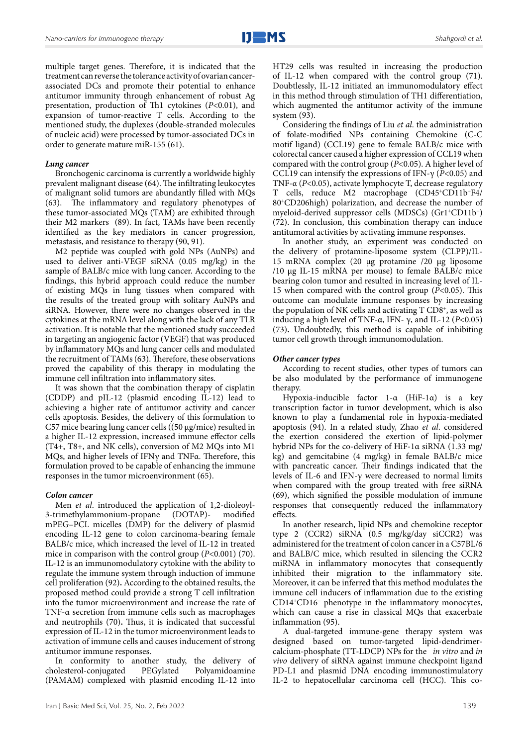multiple target genes. Therefore, it is indicated that the treatment can reverse the tolerance activity of ovarian cancerassociated DCs and promote their potential to enhance antitumor immunity through enhancement of robust Ag presentation, production of Th1 cytokines (*P*<0.01), and expansion of tumor-reactive T cells. According to the mentioned study, the duplexes (double-stranded molecules of nucleic acid) were processed by tumor-associated DCs in order to generate mature miR-155 (61).

#### *Lung cancer*

Bronchogenic carcinoma is currently a worldwide highly prevalent malignant disease (64). The infiltrating leukocytes of malignant solid tumors are abundantly filled with MQs (63). The inflammatory and regulatory phenotypes of these tumor-associated MQs (TAM) are exhibited through their M2 markers (89). In fact, TAMs have been recently identified as the key mediators in cancer progression, metastasis, and resistance to therapy (90, 91).

M2 peptide was coupled with gold NPs (AuNPs) and used to deliver anti-VEGF siRNA (0.05 mg/kg) in the sample of BALB/c mice with lung cancer. According to the findings, this hybrid approach could reduce the number of existing MQs in lung tissues when compared with the results of the treated group with solitary AuNPs and siRNA. However, there were no changes observed in the cytokines at the mRNA level along with the lack of any TLR activation. It is notable that the mentioned study succeeded in targeting an angiogenic factor (VEGF) that was produced by inflammatory MQs and lung cancer cells and modulated the recruitment of TAMs (63). Therefore, these observations proved the capability of this therapy in modulating the immune cell infiltration into inflammatory sites.

It was shown that the combination therapy of cisplatin (CDDP) and pIL-12 (plasmid encoding IL-12) lead to achieving a higher rate of antitumor activity and cancer cells apoptosis. Besides, the delivery of this formulation to C57 mice bearing lung cancer cells ((50 µg/mice) resulted in a higher IL-12 expression, increased immune effector cells (T4+, T8+, and NK cells), conversion of M2 MQs into M1 MQs, and higher levels of IFNγ and TNFα. Therefore, this formulation proved to be capable of enhancing the immune responses in the tumor microenvironment (65).

#### *Colon cancer*

Men *et al*. introduced the application of 1,2-dioleoyl-3-trimethylammonium-propane (DOTAP)- modified mPEG–PCL micelles (DMP) for the delivery of plasmid encoding IL-12 gene to colon carcinoma-bearing female BALB/c mice, which increased the level of IL-12 in treated mice in comparison with the control group (*P*<0.001) (70). IL-12 is an immunomodulatory cytokine with the ability to regulate the immune system through induction of immune cell proliferation (92)**.** According to the obtained results, the proposed method could provide a strong T cell infiltration into the tumor microenvironment and increase the rate of TNF-α secretion from immune cells such as macrophages and neutrophils (70)**.** Thus, it is indicated that successful expression of IL-12 in the tumor microenvironment leads to activation of immune cells and causes inducement of strong antitumor immune responses.

In conformity to another study, the delivery of cholesterol-conjugated PEGylated Polyamidoamine (PAMAM) complexed with plasmid encoding IL-12 into

HT29 cells was resulted in increasing the production of IL-12 when compared with the control group (71). Doubtlessly, IL-12 initiated an immunomodulatory effect in this method through stimulation of TH1 differentiation, which augmented the antitumor activity of the immune system (93).

Considering the findings of Liu *et al*. the administration of folate-modified NPs containing Chemokine (C-C motif ligand) (CCL19) gene to female BALB/c mice with colorectal cancer caused a higher expression of CCL19 when compared with the control group (*P*<0.05). A higher level of CCL19 can intensify the expressions of IFN-γ (*P*<0.05) and TNF-α (*P*<0.05), activate lymphocyte T, decrease regulatory T cells, reduce M2 macrophage (CD45<sup>+</sup>CD11b<sup>+</sup>F4/ 80⁺CD206high) polarization, and decrease the number of myeloid-derived suppressor cells (MDSCs)  $(Gr1+CD11b^+)$ (72). In conclusion, this combination therapy can induce antitumoral activities by activating immune responses.

In another study, an experiment was conducted on the delivery of protamine-liposome system (CLPP)/IL-15 mRNA complex (20 µg protamine /20 µg liposome /10 µg IL-15 mRNA per mouse) to female BALB/c mice bearing colon tumor and resulted in increasing level of IL-15 when compared with the control group (*P*<0.05). This outcome can modulate immune responses by increasing the population of NK cells and activating  $T \text{CD}8^+$ , as well as inducing a high level of TNF-α, IFN- γ, and IL-12 (*P*<0.05) (73)**.** Undoubtedly, this method is capable of inhibiting tumor cell growth through immunomodulation.

#### *Other cancer types*

According to recent studies, other types of tumors can be also modulated by the performance of immunogene therapy.

Hypoxia-inducible factor 1-α (HiF-1α) is a key transcription factor in tumor development, which is also known to play a fundamental role in hypoxia-mediated apoptosis (94). In a related study, Zhao *et al*. considered the exertion considered the exertion of lipid-polymer hybrid NPs for the co-delivery of HiF-1α siRNA (1.33 mg/ kg) and gemcitabine (4 mg/kg) in female BALB/c mice with pancreatic cancer. Their findings indicated that the levels of IL-6 and IFN-γ were decreased to normal limits when compared with the group treated with free siRNA (69), which signified the possible modulation of immune responses that consequently reduced the inflammatory effects.

In another research, lipid NPs and chemokine receptor type 2 (CCR2) siRNA (0.5 mg/kg/day siCCR2) was administered for the treatment of colon cancer in a C57BL/6 and BALB/C mice, which resulted in silencing the CCR2 miRNA in inflammatory monocytes that consequently inhibited their migration to the inflammatory site. Moreover, it can be inferred that this method modulates the immune cell inducers of inflammation due to the existing CD14<sup>+</sup>CD16<sup>-</sup> phenotype in the inflammatory monocytes, which can cause a rise in classical MQs that exacerbate inflammation (95).

A dual-targeted immune-gene therapy system was designed based on tumor-targeted lipid-dendrimercalcium-phosphate (TT-LDCP) NPs for the *in vitro* and *in vivo* delivery of siRNA against immune checkpoint ligand PD-L1 and plasmid DNA encoding immunostimulatory IL-2 to hepatocellular carcinoma cell (HCC). This co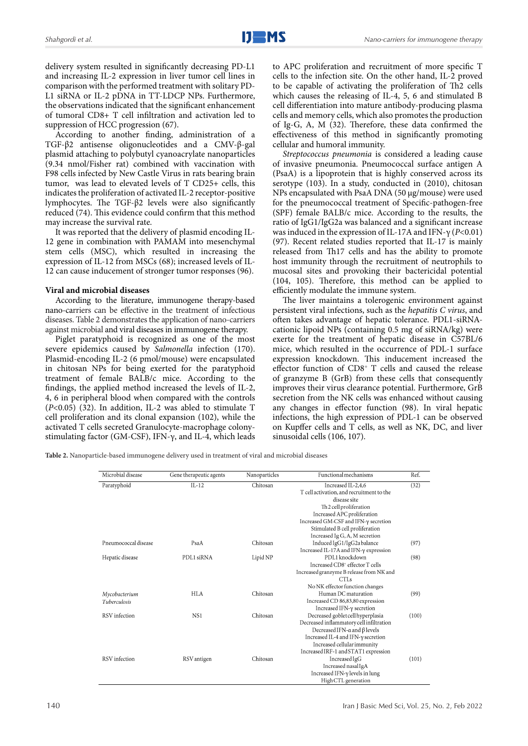delivery system resulted in significantly decreasing PD-L1 and increasing IL-2 expression in liver tumor cell lines in comparison with the performed treatment with solitary PD-L1 siRNA or IL-2 pDNA in TT-LDCP NPs. Furthermore, the observations indicated that the significant enhancement of tumoral CD8+ T cell infiltration and activation led to suppression of HCC progression (67).

According to another finding, administration of a TGF-β2 antisense oligonucleotides and a CMV-β-gal plasmid attaching to polybutyl cyanoacrylate nanoparticles (9.34 nmol/Fisher rat) combined with vaccination with F98 cells infected by New Castle Virus in rats bearing brain tumor, was lead to elevated levels of T CD25+ cells, this indicates the proliferation of activated IL-2 receptor-positive lymphocytes. The TGF-β2 levels were also significantly reduced (74). This evidence could confirm that this method may increase the survival rate.

It was reported that the delivery of plasmid encoding IL-12 gene in combination with PAMAM into mesenchymal stem cells (MSC), which resulted in increasing the expression of IL-12 from MSCs (68); increased levels of IL-12 can cause inducement of stronger tumor responses (96).

#### **Viral and microbial diseases**

According to the literature, immunogene therapy-based nano-carriers can be effective in the treatment of infectious diseases. Table 2 demonstrates the application of nano-carriers against microbial and viral diseases in immunogene therapy.

Piglet paratyphoid is recognized as one of the most severe epidemics caused by *Salmonella* infection (170). Plasmid-encoding IL-2 (6 pmol/mouse) were encapsulated in chitosan NPs for being exerted for the paratyphoid treatment of female BALB/c mice. According to the findings, the applied method increased the levels of IL-2, 4, 6 in peripheral blood when compared with the controls (*P*<0.05) (32). In addition, IL-2 was abled to stimulate T cell proliferation and its clonal expansion (102), while the activated T cells secreted Granulocyte-macrophage colonystimulating factor (GM-CSF), IFN-γ, and IL-4, which leads

to APC proliferation and recruitment of more specific T cells to the infection site. On the other hand, IL-2 proved to be capable of activating the proliferation of Th2 cells which causes the releasing of IL-4, 5, 6 and stimulated B cell differentiation into mature antibody-producing plasma cells and memory cells, which also promotes the production of Ig-G, A, M (32). Therefore, these data confirmed the effectiveness of this method in significantly promoting cellular and humoral immunity.

*Streptococcus pneumonia* is considered a leading cause of invasive pneumonia. Pneumococcal surface antigen A (PsaA) is a lipoprotein that is highly conserved across its serotype (103). In a study, conducted in (2010), chitosan NPs encapsulated with PsaA DNA (50 µg/mouse) were used for the pneumococcal treatment of Specific-pathogen-free (SPF) female BALB/c mice. According to the results, the ratio of IgG1/IgG2a was balanced and a significant increase was induced in the expression of IL-17A and IFN-γ (*P*<0.01) (97). Recent related studies reported that IL-17 is mainly released from Th17 cells and has the ability to promote host immunity through the recruitment of neutrophils to mucosal sites and provoking their bactericidal potential (104, 105). Therefore, this method can be applied to efficiently modulate the immune system.

The liver maintains a tolerogenic environment against persistent viral infections, such as the *hepatitis C virus*, and often takes advantage of hepatic tolerance. PDL1-siRNAcationic lipoid NPs (containing 0.5 mg of siRNA/kg) were exerte for the treatment of hepatic disease in C57BL/6 mice, which resulted in the occurrence of PDL-1 surface expression knockdown. This inducement increased the effector function of CD8<sup>+</sup> T cells and caused the release of granzyme B (GrB) from these cells that consequently improves their virus clearance potential. Furthermore, GrB secretion from the NK cells was enhanced without causing any changes in effector function (98). In viral hepatic infections, the high expression of PDL-1 can be observed on Kupffer cells and T cells, as well as NK, DC, and liver sinusoidal cells (106, 107).

**Table 2.** Nanoparticle-based immunogene delivery used in treatment of viral and microbial diseases

| Microbial disease    | Gene therapeutic agents | Nanoparticles | Functional mechanisms                       | Ref.  |
|----------------------|-------------------------|---------------|---------------------------------------------|-------|
| Paratyphoid          | $IL-12$                 | Chitosan      | Increased IL-2,4,6                          | (32)  |
|                      |                         |               | T cell activation, and recruitment to the   |       |
|                      |                         |               | disease site                                |       |
|                      |                         |               | Th <sub>2</sub> cell proliferation          |       |
|                      |                         |               | Increased APC proliferation                 |       |
|                      |                         |               | Increased GM-CSF and IFN-y secretion        |       |
|                      |                         |               | Stimulated B cell proliferation             |       |
|                      |                         |               | Increased Ig G, A, M secretion              |       |
| Pneumococcal disease | PsaA                    | Chitosan      | Induced IgG1/IgG2a balance                  | (97)  |
|                      |                         |               | Increased IL-17A and IFN-γ expression       |       |
| Hepatic disease      | PDL1 siRNA              | Lipid NP      | PDL1 knockdown                              | (98)  |
|                      |                         |               | Increased CD8 <sup>+</sup> effector T cells |       |
|                      |                         |               | Increased granzyme B release from NK and    |       |
|                      |                         |               | <b>CTLs</b>                                 |       |
|                      |                         |               | No NK effector function changes             |       |
| Mycobacterium        | <b>HLA</b>              | Chitosan      | Human DC maturation                         | (99)  |
| Tuberculosis         |                         |               | Increased CD 86,83,80 expression            |       |
|                      |                         |               | Increased IFN-γ secretion                   |       |
| RSV infection        | NS1                     | Chitosan      | Decreased goblet cell hyperplasia           | (100) |
|                      |                         |               | Decreased inflammatory cell infiltration    |       |
|                      |                         |               | Decreased IFN- $\alpha$ and $\beta$ levels  |       |
|                      |                         |               | Increased IL-4 and IFN-γ secretion          |       |
|                      |                         |               | Increased cellular immunity                 |       |
|                      |                         |               | Increased IRF-1 and STAT1 expression        |       |
| RSV infection        | RSV antigen             | Chitosan      | Increased IgG                               | (101) |
|                      |                         |               | Increased nasal IgA                         |       |
|                      |                         |               | Increased IFN- $\gamma$ levels in lung      |       |
|                      |                         |               | High CTL generation                         |       |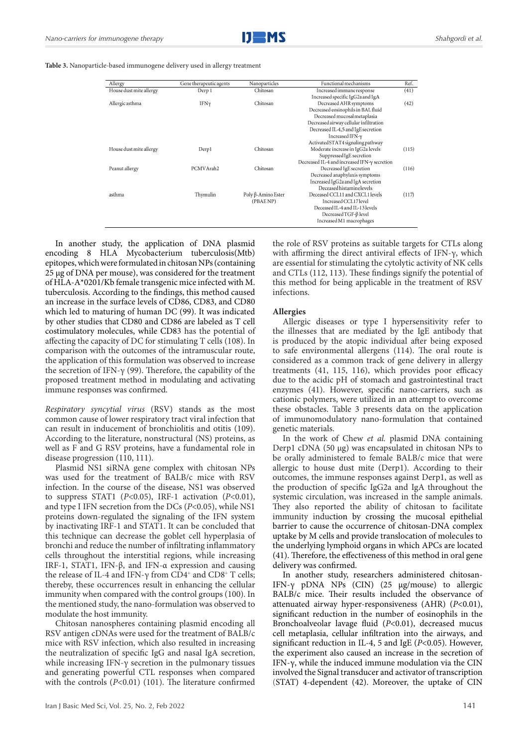**Table 3.** Nanoparticle-based immunogene delivery used in allergy treatment

| Allergy                 | Gene therapeutic agents | Nanoparticles                          | Functional mechanisms                        | Ref.  |
|-------------------------|-------------------------|----------------------------------------|----------------------------------------------|-------|
| House dust mite allergy | Derp 1                  | Chitosan                               | Increased immune response                    | (41)  |
|                         |                         |                                        | Increased specific IgG2a and IgA             |       |
| Allergic asthma         | IFNy                    | Chitosan                               | Decreased AHR symptoms                       | (42)  |
|                         |                         |                                        | Decreased eosinophils in BAL fluid           |       |
|                         |                         |                                        | Decreased mucosal metaplasia                 |       |
|                         |                         |                                        | Decreased airway cellular infiltration       |       |
|                         |                         |                                        | Decreased IL-4,5 and IgE secretion           |       |
|                         |                         |                                        | Increased IFN- $v$                           |       |
|                         |                         |                                        | Activated STAT4 signaling pathway            |       |
| House dust mite allergy | Derp1                   | Chitosan                               | Moderate increase in IgG2a levels            | (115) |
|                         |                         |                                        | Suppressed IgE secretion                     |       |
|                         |                         |                                        | Decreased IL-4 and increased IFN-y secretion |       |
| Peanut allergy          | PCMVArah2               | Chitosan                               | Decreased IgE secretion                      | (116) |
|                         |                         |                                        | Decreased anaphylaxis symptoms               |       |
|                         |                         |                                        | Increased IgG2a and IgA secretion            |       |
|                         |                         |                                        | Deceased histamine levels                    |       |
| asthma                  | Thymulin                | $Poly \beta$ -Amino Ester<br>(PBAE NP) | Deceased CCL11 and CXCL1 levels              | (117) |
|                         |                         |                                        | Increased CCL17 level                        |       |
|                         |                         |                                        | Deceased IL-4 and IL-13 levels               |       |
|                         |                         |                                        | Decreased TGF- $\beta$ level                 |       |
|                         |                         |                                        | Increased M1 macrophages                     |       |

In another study, the application of DNA plasmid encoding 8 HLA Mycobacterium tuberculosis(Mtb) epitopes, which were formulated in chitosan NPs (containing 25 µg of DNA per mouse), was considered for the treatment of HLA-A\*0201/Kb female transgenic mice infected with M. tuberculosis. According to the findings, this method caused an increase in the surface levels of CD86, CD83, and CD80 which led to maturing of human DC (99). It was indicated by other studies that CD80 and CD86 are labeled as T cell costimulatory molecules, while CD83 has the potential of affecting the capacity of DC for stimulating T cells (108). In comparison with the outcomes of the intramuscular route, the application of this formulation was observed to increase the secretion of IFN-γ (99). Therefore, the capability of the proposed treatment method in modulating and activating immune responses was confirmed.

*Respiratory syncytial virus* (RSV) stands as the most common cause of lower respiratory tract viral infection that can result in inducement of bronchiolitis and otitis (109). According to the literature, nonstructural (NS) proteins, as well as F and G RSV proteins, have a fundamental role in disease progression (110, 111).

Plasmid NS1 siRNA gene complex with chitosan NPs was used for the treatment of BALB/c mice with RSV infection. In the course of the disease, NS1 was observed to suppress STAT1 (*P*<0.05), IRF-1 activation (*P*<0.01), and type I IFN secretion from the DCs (*P*<0.05), while NS1 proteins down-regulated the signaling of the IFN system by inactivating IRF-1 and STAT1. It can be concluded that this technique can decrease the goblet cell hyperplasia of bronchi and reduce the number of infiltrating inflammatory cells throughout the interstitial regions, while increasing IRF-1, STAT1, IFN-β, and IFN-α expression and causing the release of IL-4 and IFN-γ from  $CD4^+$  and  $CD8^+$  T cells; thereby, these occurrences result in enhancing the cellular immunity when compared with the control groups (100). In the mentioned study, the nano-formulation was observed to modulate the host immunity.

Chitosan nanospheres containing plasmid encoding all RSV antigen cDNAs were used for the treatment of BALB/c mice with RSV infection, which also resulted in increasing the neutralization of specific IgG and nasal IgA secretion, while increasing IFN-γ secretion in the pulmonary tissues and generating powerful CTL responses when compared with the controls (*P*<0.01) (101). The literature confirmed

the role of RSV proteins as suitable targets for CTLs along with affirming the direct antiviral effects of IFN-γ, which are essential for stimulating the cytolytic activity of NK cells and CTLs (112, 113). These findings signify the potential of this method for being applicable in the treatment of RSV infections.

#### **Allergies**

Allergic diseases or type I hypersensitivity refer to the illnesses that are mediated by the IgE antibody that is produced by the atopic individual after being exposed to safe environmental allergens (114). The oral route is considered as a common track of gene delivery in allergy treatments (41, 115, 116), which provides poor efficacy due to the acidic pH of stomach and gastrointestinal tract enzymes (41). However, specific nano-carriers, such as cationic polymers, were utilized in an attempt to overcome these obstacles. Table 3 presents data on the application of immunomodulatory nano-formulation that contained genetic materials.

In the work of Chew *et al.* plasmid DNA containing Derp1 cDNA (50 µg) was encapsulated in chitosan NPs to be orally administered to female BALB/c mice that were allergic to house dust mite (Derp1). According to their outcomes, the immune responses against Derp1, as well as the production of specific IgG2a and IgA throughout the systemic circulation, was increased in the sample animals. They also reported the ability of chitosan to facilitate immunity induction by crossing the mucosal epithelial barrier to cause the occurrence of chitosan-DNA complex uptake by M cells and provide translocation of molecules to the underlying lymphoid organs in which APCs are located (41). Therefore, the effectiveness of this method in oral gene delivery was confirmed.

In another study, researchers administered chitosan-IFN-γ pDNA NPs (CIN) (25 µg/mouse) to allergic BALB/c mice. Their results included the observance of attenuated airway hyper-responsiveness (AHR) (*P*<0.01), significant reduction in the number of eosinophils in the Bronchoalveolar lavage fluid (*P*<0.01), decreased mucus cell metaplasia, cellular infiltration into the airways, and significant reduction in IL-4, 5 and IgE (*P*<0.05). However, the experiment also caused an increase in the secretion of IFN-γ, while the induced immune modulation via the CIN involved the Signal transducer and activator of transcription (STAT) 4-dependent (42). Moreover, the uptake of CIN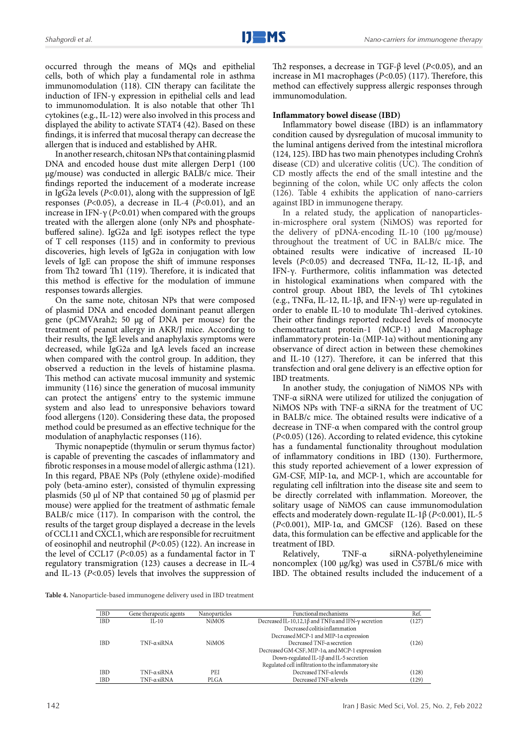occurred through the means of MQs and epithelial cells, both of which play a fundamental role in asthma immunomodulation (118). CIN therapy can facilitate the induction of IFN-γ expression in epithelial cells and lead to immunomodulation. It is also notable that other Th1 cytokines (e.g., IL-12) were also involved in this process and displayed the ability to activate STAT4 (42). Based on these findings, it is inferred that mucosal therapy can decrease the allergen that is induced and established by AHR.

In another research, chitosan NPs that containing plasmid DNA and encoded house dust mite allergen Derp1 (100 µg/mouse) was conducted in allergic BALB/c mice. Their findings reported the inducement of a moderate increase in IgG2a levels (*P*<0.01), along with the suppression of IgE responses (*P*<0.05), a decrease in IL-4 (*P*<0.01), and an increase in IFN-γ (*P*<0.01) when compared with the groups treated with the allergen alone (only NPs and phosphatebuffered saline). IgG2a and IgE isotypes reflect the type of T cell responses (115) and in conformity to previous discoveries, high levels of IgG2a in conjugation with low levels of IgE can propose the shift of immune responses from Th2 toward Th1 (119). Therefore, it is indicated that this method is effective for the modulation of immune responses towards allergies.

On the same note, chitosan NPs that were composed of plasmid DNA and encoded dominant peanut allergen gene (pCMVArah2; 50 µg of DNA per mouse) for the treatment of peanut allergy in AKR/J mice. According to their results, the IgE levels and anaphylaxis symptoms were decreased, while IgG2a and IgA levels faced an increase when compared with the control group. In addition, they observed a reduction in the levels of histamine plasma. This method can activate mucosal immunity and systemic immunity (116) since the generation of mucosal immunity can protect the antigens' entry to the systemic immune system and also lead to unresponsive behaviors toward food allergens (120). Considering these data, the proposed method could be presumed as an effective technique for the modulation of anaphylactic responses (116).

Thymic nonapeptide (thymulin or serum thymus factor) is capable of preventing the cascades of inflammatory and fibrotic responses in a mouse model of allergic asthma (121). In this regard, PBAE NPs (Poly (ethylene oxide)-modified poly (beta-amino ester), consisted of thymulin expressing plasmids (50 μl of NP that contained 50 μg of plasmid per mouse) were applied for the treatment of asthmatic female BALB/c mice  $(117)$ . In comparison with the control, the results of the target group displayed a decrease in the levels of CCL11 and CXCL1, which are responsible for recruitment of eosinophil and neutrophil (*P*<0.05) (122). An increase in the level of CCL17 (*P*<0.05) as a fundamental factor in T regulatory transmigration (123) causes a decrease in IL-4 and IL-13 (*P*<0.05) levels that involves the suppression of Th2 responses, a decrease in TGF-β level (*P*<0.05), and an increase in M1 macrophages (*P*<0.05) (117). Therefore, this method can effectively suppress allergic responses through immunomodulation.

#### **Inflammatory bowel disease (IBD)**

Inflammatory bowel disease (IBD) is an inflammatory condition caused by dysregulation of mucosal immunity to the luminal antigens derived from the intestinal microflora (124, 125). IBD has two main phenotypes including Crohn's disease (CD) and ulcerative colitis (UC). The condition of CD mostly affects the end of the small intestine and the beginning of the colon, while UC only affects the colon (126). Table 4 exhibits the application of nano-carriers against IBD in immunogene therapy.

In a related study, the application of nanoparticlesin-microsphere oral system (NiMOS) was reported for the delivery of pDNA-encoding IL-10 (100 µg/mouse) throughout the treatment of UC in BALB/c mice. The obtained results were indicative of increased IL-10 levels (*P*<0.05) and decreased TNFα, IL-12, IL-1β, and IFN-γ. Furthermore, colitis inflammation was detected in histological examinations when compared with the control group. About IBD, the levels of Th1 cytokines (e.g., TNF $\alpha$ , IL-12, IL-1 $\beta$ , and IFN- $\gamma$ ) were up-regulated in order to enable IL-10 to modulate Th1-derived cytokines. Their other findings reported reduced levels of monocyte chemoattractant protein-1 (MCP-1) and Macrophage inflammatory protein-1 $\alpha$  (MIP-1 $\alpha$ ) without mentioning any observance of direct action in between these chemokines and IL-10 (127). Therefore, it can be inferred that this transfection and oral gene delivery is an effective option for IBD treatments.

In another study, the conjugation of NiMOS NPs with TNF-α siRNA were utilized for utilized the conjugation of NiMOS NPs with TNF-α siRNA for the treatment of UC in BALB/c mice. The obtained results were indicative of a decrease in TNF-α when compared with the control group (*P*<0.05) (126). According to related evidence, this cytokine has a fundamental functionality throughout modulation of inflammatory conditions in IBD (130). Furthermore, this study reported achievement of a lower expression of GM-CSF, MIP-1α, and MCP-1, which are accountable for regulating cell infiltration into the disease site and seem to be directly correlated with inflammation. Moreover, the solitary usage of NiMOS can cause immunomodulation effects and moderately down-regulate IL-1β (*P*<0.001), IL-5 (*P*<0.001), MIP-1α, and GMCSF (126). Based on these data, this formulation can be effective and applicable for the treatment of IBD.

Relatively, TNF-α siRNA-polyethyleneimine noncomplex (100 µg/kg) was used in C57BL/6 mice with IBD. The obtained results included the inducement of a

**Table 4.** Nanoparticle-based immunogene delivery used in IBD treatment

| <b>IBD</b> | Gene therapeutic agents | Nanoparticles | Functional mechanisms                                                     | Ref.  |
|------------|-------------------------|---------------|---------------------------------------------------------------------------|-------|
| <b>IBD</b> | $II - 10$               | <b>NiMOS</b>  | Decreased IL-10,12,1 $\beta$ and TNF $\alpha$ and IFN- $\gamma$ secretion | (127) |
|            |                         |               | Decreased colitis inflammation                                            |       |
|            |                         |               | Decreased MCP-1 and MIP-1 a expression                                    |       |
| IBD        | TNF- $\alpha$ siRNA     | <b>NiMOS</b>  | Decreased TNF-a secretion                                                 | (126) |
|            |                         |               | Decreased GM-CSF, MIP-1a, and MCP-1 expression                            |       |
|            |                         |               | Down-regulated IL-1 $\beta$ and IL-5 secretion                            |       |
|            |                         |               | Regulated cell infiltration to the inflammatory site                      |       |
| IBD        | TNF- $\alpha$ siRNA     | PEI           | Decreased TNF-a levels                                                    | (128) |
| IBD        | TNF- $\alpha$ siRNA     | <b>PLGA</b>   | Decreased TNF-a levels                                                    | (129) |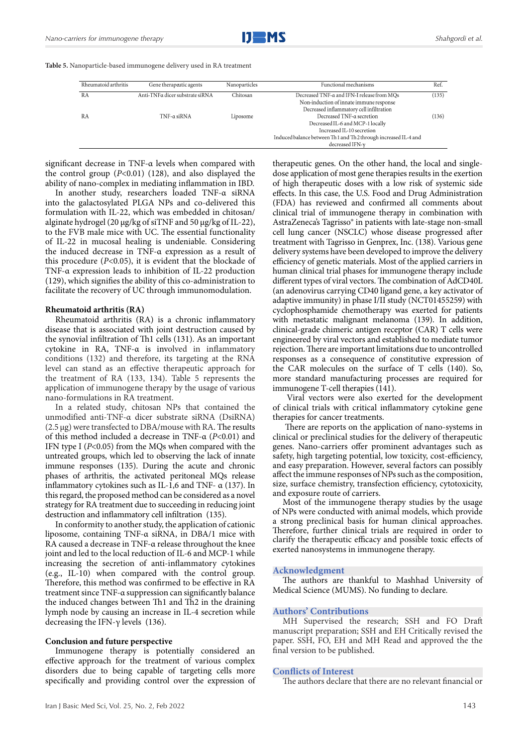**Table 5.** Nanoparticle-based immunogene delivery used in RA treatment

| Rheumatoid arthritis | Gene therapeutic agents         | Nanoparticles | Functional mechanisms                                          | Ref.  |
|----------------------|---------------------------------|---------------|----------------------------------------------------------------|-------|
| RA                   | Anti-TNFa dicer substrate siRNA | Chitosan      | Decreased TNF-α and IFN-I release from MQs                     | (135) |
|                      |                                 |               | Non-induction of innate immune response                        |       |
|                      |                                 |               | Decreased inflammatory cell infiltration                       |       |
| RA                   | TNF- $\alpha$ siRNA             | Liposome      | Decreased TNF-a secretion                                      | (136) |
|                      |                                 |               | Decreased IL-6 and MCP-1 locally                               |       |
|                      |                                 |               | Increased IL-10 secretion                                      |       |
|                      |                                 |               | Induced balance between Th1 and Th2 through increased IL-4 and |       |
|                      |                                 |               | decreased IFN-y                                                |       |

significant decrease in TNF-α levels when compared with the control group (*P*<0.01) (128), and also displayed the ability of nano-complex in mediating inflammation in IBD.

In another study, researchers loaded TNF-α siRNA into the galactosylated PLGA NPs and co-delivered this formulation with IL-22, which was embedded in chitosan/ alginate hydrogel (20 µg/kg of siTNF and 50 µg/kg of IL-22), to the FVB male mice with UC. The essential functionality of IL-22 in mucosal healing is undeniable. Considering the induced decrease in TNF-α expression as a result of this procedure (*P*<0.05), it is evident that the blockade of TNF-α expression leads to inhibition of IL-22 production (129), which signifies the ability of this co-administration to facilitate the recovery of UC through immunomodulation.

#### **Rheumatoid arthritis (RA)**

Rheumatoid arthritis (RA) is a chronic inflammatory disease that is associated with joint destruction caused by the synovial infiltration of Th1 cells (131). As an important cytokine in RA, TNF-α is involved in inflammatory conditions (132) and therefore, its targeting at the RNA level can stand as an effective therapeutic approach for the treatment of RA (133, 134). Table 5 represents the application of immunogene therapy by the usage of various nano-formulations in RA treatment.

In a related study, chitosan NPs that contained the unmodified anti-TNF-α dicer substrate siRNA (DsiRNA) (2.5 µg) were transfected to DBA/mouse with RA. The results of this method included a decrease in TNF-α (*P*<0.01) and IFN type I (*P*<0.05) from the MQs when compared with the untreated groups, which led to observing the lack of innate immune responses (135). During the acute and chronic phases of arthritis, the activated peritoneal MQs release inflammatory cytokines such as IL-1,6 and TNF-  $\alpha$  (137). In this regard, the proposed method can be considered as a novel strategy for RA treatment due to succeeding in reducing joint destruction and inflammatory cell infiltration (135).

In conformity to another study, the application of cationic liposome, containing TNF-α siRNA, in DBA/1 mice with RA caused a decrease in TNF-α release throughout the knee joint and led to the local reduction of IL-6 and MCP-1 while increasing the secretion of anti-inflammatory cytokines (e.g., IL-10) when compared with the control group. Therefore, this method was confirmed to be effective in RA treatment since TNF-α suppression can significantly balance the induced changes between Th1 and Th2 in the draining lymph node by causing an increase in IL-4 secretion while decreasing the IFN-γ levels (136).

#### **Conclusion and future perspective**

Immunogene therapy is potentially considered an effective approach for the treatment of various complex disorders due to being capable of targeting cells more specifically and providing control over the expression of

Iran J Basic Med Sci, Vol. 25, No. 2, Feb 2022 143

therapeutic genes. On the other hand, the local and singledose application of most gene therapies results in the exertion of high therapeutic doses with a low risk of systemic side effects. In this case, the U.S. Food and Drug Administration (FDA) has reviewed and confirmed all comments about clinical trial of immunogene therapy in combination with AstraZeneca's Tagrisso® in patients with late-stage non-small cell lung cancer (NSCLC) whose disease progressed after treatment with Tagrisso in Genprex, Inc. (138). Various gene delivery systems have been developed to improve the delivery efficiency of genetic materials. Most of the applied carriers in human clinical trial phases for immunogene therapy include different types of viral vectors. The combination of AdCD40L (an adenovirus carrying CD40 ligand gene, a key activator of adaptive immunity) in phase I/II study (NCT01455259) with cyclophosphamide chemotherapy was exerted for patients with metastatic malignant melanoma (139). In addition, clinical-grade chimeric antigen receptor (CAR) T cells were engineered by viral vectors and established to mediate tumor rejection. There are important limitations due to uncontrolled responses as a consequence of constitutive expression of the CAR molecules on the surface of T cells (140). So, more standard manufacturing processes are required for immunogene T-cell therapies (141).

 Viral vectors were also exerted for the development of clinical trials with critical inflammatory cytokine gene therapies for cancer treatments.

 There are reports on the application of nano-systems in clinical or preclinical studies for the delivery of therapeutic genes. Nano-carriers offer prominent advantages such as safety, high targeting potential, low toxicity, cost-efficiency, and easy preparation. However, several factors can possibly affect the immune responses of NPs such as the composition, size, surface chemistry, transfection efficiency, cytotoxicity, and exposure route of carriers.

Most of the immunogene therapy studies by the usage of NPs were conducted with animal models, which provide a strong preclinical basis for human clinical approaches. Therefore, further clinical trials are required in order to clarify the therapeutic efficacy and possible toxic effects of exerted nanosystems in immunogene therapy.

#### **Acknowledgment**

The authors are thankful to Mashhad University of Medical Science (MUMS). No funding to declare.

#### **Authors' Contributions**

MH Supervised the research; SSH and FO Draft manuscript preparation; SSH and EH Critically revised the paper. SSH, FO, EH and MH Read and approved the the final version to be published.

#### **Conflicts of Interest**

The authors declare that there are no relevant financial or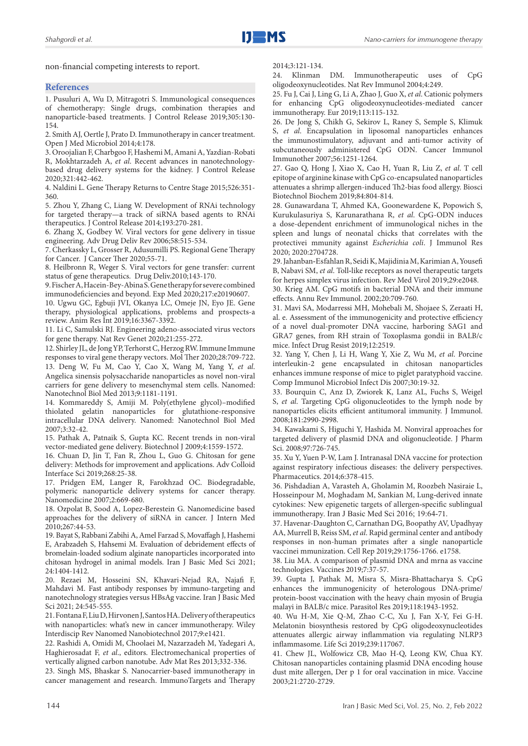non-financial competing interests to report.

#### **References**

1. Pusuluri A, Wu D, Mitragotri S. Immunological consequences of chemotherapy: Single drugs, combination therapies and nanoparticle-based treatments. J Control Release 2019;305:130- 154.

2. Smith AJ, Oertle J, Prato D. Immunotherapy in cancer treatment. Open J Med Microbiol 2014;4:178.

3. Oroojalian F, Charbgoo F, Hashemi M, Amani A, Yazdian-Robati R, Mokhtarzadeh A, *et al*. Recent advances in nanotechnologybased drug delivery systems for the kidney. J Control Release 2020;321:442-462.

4. Naldini L. Gene Therapy Returns to Centre Stage 2015;526:351- 360.

5. Zhou Y, Zhang C, Liang W. Development of RNAi technology for targeted therapy—a track of siRNA based agents to RNAi therapeutics. J Control Release 2014;193:270-281.

6. Zhang X, Godbey W. Viral vectors for gene delivery in tissue engineering. Adv Drug Deliv Rev 2006;58:515-534.

7. Cherkassky L, Grosser R, Adusumilli PS. Regional Gene Therapy for Cancer. J Cancer Ther 2020;55-71.

8. Heilbronn R, Weger S. Viral vectors for gene transfer: current status of gene therapeutics. Drug Deliv.2010;143-170.

9. Fischer A, Hacein-Bey-Abina S. Gene therapy for severe combined immunodeficiencies and beyond. Exp Med 2020;217:e20190607.

10. Ugwu GC, Egbuji JVI, Okanya LC, Omeje JN, Eyo JE. Gene therapy, physiological applications, problems and prospects-a review. Anim Res Int 2019;16:3367-3392.

11. Li C, Samulski RJ. Engineering adeno-associated virus vectors for gene therapy. Nat Rev Genet 2020;21:255-272.

12. Shirley JL, de Jong YP, Terhorst C, Herzog RW. Immune Immune responses to viral gene therapy vectors. Mol Ther 2020;28:709-722. 13. Deng W, Fu M, Cao Y, Cao X, Wang M, Yang Y, *et al*. Angelica sinensis polysaccharide nanoparticles as novel non-viral carriers for gene delivery to mesenchymal stem cells. Nanomed: Nanotechnol Biol Med 2013;9:1181-1191.

14. Kommareddy S, Amiji M. Poly(ethylene glycol)–modified thiolated gelatin nanoparticles for glutathione-responsive intracellular DNA delivery. Nanomed: Nanotechnol Biol Med 2007;3:32-42.

15. Pathak A, Patnaik S, Gupta KC. Recent trends in non-viral vector-mediated gene delivery. Biotechnol J 2009;4:1559-1572.

16. Chuan D, Jin T, Fan R, Zhou L, Guo G. Chitosan for gene delivery: Methods for improvement and applications. Adv Colloid Interface Sci 2019;268:25-38.

17. Pridgen EM, Langer R, Farokhzad OC. Biodegradable, polymeric nanoparticle delivery systems for cancer therapy. Nanomedicine 2007;2:669-680.

18. Ozpolat B, Sood A, Lopez‐Berestein G. Nanomedicine based approaches for the delivery of siRNA in cancer. J Intern Med 2010;267:44-53.

19. Bayat S, Rabbani Zabihi A, Amel Farzad S, Movaffagh J, Hashemi E, Arabzadeh S, Hahsemi M. Evaluation of debridement effects of bromelain-loaded sodium alginate nanoparticles incorporated into chitosan hydrogel in animal models. Iran J Basic Med Sci 2021; 24:1404-1412.

20. Rezaei M, Hosseini SN, Khavari-Nejad RA, Najafi F, Mahdavi M. Fast antibody responses by immuno-targeting and nanotechnology strategies versus HBsAg vaccine. Iran J Basic Med Sci 2021; 24:545-555.

21. Fontana F, Liu D, Hirvonen J, Santos HA. Delivery of therapeutics with nanoparticles: what's new in cancer immunotherapy. Wiley Interdiscip Rev Nanomed Nanobiotechnol 2017;9:e1421.

22. Rashidi A, Omidi M, Choolaei M, Nazarzadeh M, Yadegari A, Haghierosadat F, *et al*., editors. Electromechanical properties of vertically aligned carbon nanotube. Adv Mat Res 2013;332-336.

23. Singh MS, Bhaskar S. Nanocarrier-based immunotherapy in cancer management and research. ImmunoTargets and Therapy 2014;3:121-134.

24. Klinman DM. Immunotherapeutic uses of CpG oligodeoxynucleotides. Nat Rev Immunol 2004;4:249.

25. Fu J, Cai J, Ling G, Li A, Zhao J, Guo X, *et al*. Cationic polymers for enhancing CpG oligodeoxynucleotides-mediated cancer immunotherapy. Eur 2019;113:115-132.

26. De Jong S, Chikh G, Sekirov L, Raney S, Semple S, Klimuk S, *et al*. Encapsulation in liposomal nanoparticles enhances the immunostimulatory, adjuvant and anti-tumor activity of subcutaneously administered CpG ODN. Cancer Immunol Immunother 2007;56:1251-1264.

27. Gao Q, Hong J, Xiao X, Cao H, Yuan R, Liu Z, *et al*. T cell epitope of arginine kinase with CpG co-encapsulated nanoparticles attenuates a shrimp allergen-induced Th2-bias food allergy. Biosci Biotechnol Biochem 2019;84:804-814.

28. Gunawardana T, Ahmed KA, Goonewardene K, Popowich S, Kurukulasuriya S, Karunarathana R, *et al*. CpG-ODN induces a dose-dependent enrichment of immunological niches in the spleen and lungs of neonatal chicks that correlates with the protectivei mmunity against *Escherichia coli*. J Immunol Res 2020; 2020:2704728.

29. Jahanban‐Esfahlan R, Seidi K, Majidinia M, Karimian A, Yousefi B, Nabavi SM, *et al*. Toll‐like receptors as novel therapeutic targets for herpes simplex virus infection. Rev Med Virol 2019;29:e2048.

30. Krieg AM. CpG motifs in bacterial DNA and their immune effects. Annu Rev Immunol. 2002;20:709-760.

31. Mavi SA, Modarressi MH, Mohebali M, Shojaee S, Zeraati H, al. e. Assessment of the immunogenicity and protective efficiency of a novel dual-promoter DNA vaccine, harboring SAG1 and GRA7 genes, from RH strain of Toxoplasma gondii in BALB/c mice. Infect Drug Resist 2019;12:2519.

32. Yang Y, Chen J, Li H, Wang Y, Xie Z, Wu M, *et al*. Porcine interleukin-2 gene encapsulated in chitosan nanoparticles enhances immune response of mice to piglet paratyphoid vaccine. Comp Immunol Microbiol Infect Dis 2007;30:19-32.

33. Bourquin C, Anz D, Zwiorek K, Lanz AL, Fuchs S, Weigel S, *et al*. Targeting CpG oligonucleotides to the lymph node by nanoparticles elicits efficient antitumoral immunity. J Immunol. 2008;181:2990-2998.

34. Kawakami S, Higuchi Y, Hashida M. Nonviral approaches for targeted delivery of plasmid DNA and oligonucleotide. J Pharm Sci. 2008;97:726-745.

35. Xu Y, Yuen P-W, Lam J. Intranasal DNA vaccine for protection against respiratory infectious diseases: the delivery perspectives. Pharmaceutics. 2014;6:378-415.

36. Pishdadian A, Varasteh A, Gholamin M, Roozbeh Nasiraie L, Hosseinpour M, Moghadam M, Sankian M, Lung‐derived innate cytokines: New epigenetic targets of allergen‐specific sublingual immunotherapy. Iran J Basic Med Sci 2016; 19:64‐71.

37. Havenar-Daughton C, Carnathan DG, Boopathy AV, Upadhyay AA, Murrell B, Reiss SM, *et al*. Rapid germinal center and antibody responses in non-human primates after a single nanoparticle vaccinei mmunization. Cell Rep 2019;29:1756-1766. e1758.

38. Liu MA. A comparison of plasmid DNA and mrna as vaccine technologies. Vaccines 2019;7:37-57.

39. Gupta J, Pathak M, Misra S, Misra-Bhattacharya S. CpG enhances the immunogenicity of heterologous DNA-prime/ protein-boost vaccination with the heavy chain myosin of Brugia malayi in BALB/c mice. Parasitol Res 2019;118:1943-1952.

40. Wu H-M, Xie Q-M, Zhao C-C, Xu J, Fan X-Y, Fei G-H. Melatonin biosynthesis restored by CpG oligodeoxynucleotides attenuates allergic airway inflammation via regulating NLRP3 inflammasome. Life Sci 2019;239:117067.

41. Chew JL, Wolfowicz CB, Mao H-Q, Leong KW, Chua KY. Chitosan nanoparticles containing plasmid DNA encoding house dust mite allergen, Der p 1 for oral vaccination in mice. Vaccine 2003;21:2720-2729.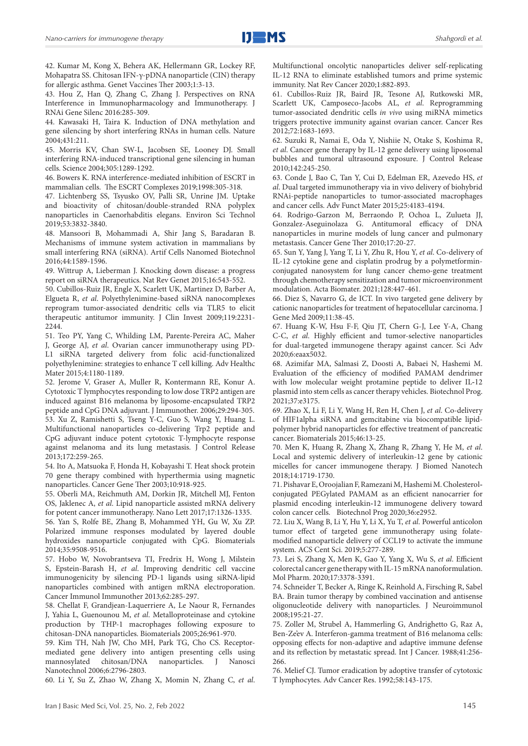42. Kumar M, Kong X, Behera AK, Hellermann GR, Lockey RF, Mohapatra SS. Chitosan IFN-γ-pDNA nanoparticle (CIN) therapy for allergic asthma. Genet Vaccines Ther 2003;1:3-13.

43. Hou Z, Han Q, Zhang C, Zhang J. Perspectives on RNA Interference in Immunopharmacology and Immunotherapy. J RNAi Gene Silenc 2016:285-309.

44. Kawasaki H, Taira K. Induction of DNA methylation and gene silencing by short interfering RNAs in human cells. Nature 2004;431:211.

45. Morris KV, Chan SW-L, Jacobsen SE, Looney DJ. Small interfering RNA-induced transcriptional gene silencing in human cells. Science 2004;305:1289-1292.

46. Bowers K. RNA interference-mediated inhibition of ESCRT in mammalian cells. The ESCRT Complexes 2019;1998:305-318.

47. Lichtenberg SS, Tsyusko OV, Palli SR, Unrine JM. Uptake and bioactivity of chitosan/double-stranded RNA polyplex nanoparticles in Caenorhabditis elegans. Environ Sci Technol 2019;53:3832-3840.

48. Mansoori B, Mohammadi A, Shir Jang S, Baradaran B. Mechanisms of immune system activation in mammalians by small interfering RNA (siRNA). Artif Cells Nanomed Biotechnol 2016;44:1589-1596.

49. Wittrup A, Lieberman J. Knocking down disease: a progress report on siRNA therapeutics. Nat Rev Genet 2015;16:543-552.

50. Cubillos-Ruiz JR, Engle X, Scarlett UK, Martinez D, Barber A, Elgueta R, *et al*. Polyethylenimine-based siRNA nanocomplexes reprogram tumor-associated dendritic cells via TLR5 to elicit therapeutic antitumor immunity. J Clin Invest 2009;119:2231-2244.

51. Teo PY, Yang C, Whilding LM, Parente-Pereira AC, Maher J, George AJ, *et al*. Ovarian cancer immunotherapy using PD-L1 siRNA targeted delivery from folic acid-functionalized polyethylenimine: strategies to enhance T cell killing. Adv Healthc Mater 2015;4:1180-1189.

52. Jerome V, Graser A, Muller R, Kontermann RE, Konur A. Cytotoxic T lymphocytes responding to low dose TRP2 antigen are induced against B16 melanoma by liposome-encapsulated TRP2 peptide and CpG DNA adjuvant. J Immunother. 2006;29:294-305. 53. Xu Z, Ramishetti S, Tseng Y-C, Guo S, Wang Y, Huang L. Multifunctional nanoparticles co-delivering Trp2 peptide and CpG adjuvant induce potent cytotoxic T-lymphocyte response against melanoma and its lung metastasis. J Control Release

2013;172:259-265. 54. Ito A, Matsuoka F, Honda H, Kobayashi T. Heat shock protein 70 gene therapy combined with hyperthermia using magnetic nanoparticles. Cancer Gene Ther 2003;10:918-925.

55. Oberli MA, Reichmuth AM, Dorkin JR, Mitchell MJ, Fenton OS, Jaklenec A, *et al*. Lipid nanoparticle assisted mRNA delivery for potent cancer immunotherapy. Nano Lett 2017;17:1326-1335. 56. Yan S, Rolfe BE, Zhang B, Mohammed YH, Gu W, Xu ZP. Polarized immune responses modulated by layered double

hydroxides nanoparticle conjugated with CpG. Biomaterials 2014;35:9508-9516. 57. Hobo W, Novobrantseva TI, Fredrix H, Wong J, Milstein

S, Epstein-Barash H, *et al*. Improving dendritic cell vaccine immunogenicity by silencing PD-1 ligands using siRNA-lipid nanoparticles combined with antigen mRNA electroporation. Cancer Immunol Immunother 2013;62:285-297.

58. Chellat F, Grandjean-Laquerriere A, Le Naour R, Fernandes J, Yahia L, Guenounou M, *et al*. Metalloproteinase and cytokine production by THP-1 macrophages following exposure to chitosan-DNA nanoparticles. Biomaterials 2005;26:961-970.

59. Kim TH, Nah JW, Cho MH, Park TG, Cho CS. Receptormediated gene delivery into antigen presenting cells using mannosylated chitosan/DNA nanoparticles. J Nanosci Nanotechnol 2006;6:2796-2803.

60. Li Y, Su Z, Zhao W, Zhang X, Momin N, Zhang C, *et al*.

Multifunctional oncolytic nanoparticles deliver self-replicating IL-12 RNA to eliminate established tumors and prime systemic immunity. Nat Rev Cancer 2020;1:882-893.

61. Cubillos-Ruiz JR, Baird JR, Tesone AJ, Rutkowski MR, Scarlett UK, Camposeco-Jacobs AL, *et al*. Reprogramming tumor-associated dendritic cells *in vivo* using miRNA mimetics triggers protective immunity against ovarian cancer. Cancer Res 2012;72:1683-1693.

62. Suzuki R, Namai E, Oda Y, Nishiie N, Otake S, Koshima R, *et al*. Cancer gene therapy by IL-12 gene delivery using liposomal bubbles and tumoral ultrasound exposure. J Control Release 2010;142:245-250.

63. Conde J, Bao C, Tan Y, Cui D, Edelman ER, Azevedo HS, *et al*. Dual targeted immunotherapy via in vivo delivery of biohybrid RNAi-peptide nanoparticles to tumor-associated macrophages and cancer cells. Adv Funct Mater 2015;25:4183-4194.

64. Rodrigo-Garzon M, Berraondo P, Ochoa L, Zulueta JJ, Gonzalez-Aseguinolaza G. Antitumoral efficacy of DNA nanoparticles in murine models of lung cancer and pulmonary metastasis. Cancer Gene Ther 2010;17:20-27.

65. Sun Y, Yang J, Yang T, Li Y, Zhu R, Hou Y, *et al*. Co-delivery of IL-12 cytokine gene and cisplatin prodrug by a polymetforminconjugated nanosystem for lung cancer chemo-gene treatment through chemotherapy sensitization and tumor microenvironment modulation. Acta Biomater. 2021;128:447-461.

66. Diez S, Navarro G, de ICT. In vivo targeted gene delivery by cationic nanoparticles for treatment of hepatocellular carcinoma. J Gene Med 2009;11:38-45.

67. Huang K-W, Hsu F-F, Qiu JT, Chern G-J, Lee Y-A, Chang C-C, *et al*. Highly efficient and tumor-selective nanoparticles for dual-targeted immunogene therapy against cancer. Sci Adv 2020;6:eaax5032.

68. Azimifar MA, Salmasi Z, Doosti A, Babaei N, Hashemi M. Evaluation of the efficiency of modified PAMAM dendrimer with low molecular weight protamine peptide to deliver IL‐12 plasmid into stem cells as cancer therapy vehicles. Biotechnol Prog. 2021;37:e3175.

69. Zhao X, Li F, Li Y, Wang H, Ren H, Chen J, *et al*. Co-delivery of HIF1alpha siRNA and gemcitabine via biocompatible lipidpolymer hybrid nanoparticles for effective treatment of pancreatic cancer. Biomaterials 2015;46:13-25.

70. Men K, Huang R, Zhang X, Zhang R, Zhang Y, He M, *et al*. Local and systemic delivery of interleukin-12 gene by cationic micelles for cancer immunogene therapy. J Biomed Nanotech 2018;14:1719-1730.

71. Pishavar E, Oroojalian F, Ramezani M, Hashemi M. Cholesterol‐ conjugated PEGylated PAMAM as an efficient nanocarrier for plasmid encoding interleukin‐12 immunogene delivery toward colon cancer cells. Biotechnol Prog 2020;36:e2952.

72. Liu X, Wang B, Li Y, Hu Y, Li X, Yu T, *et al*. Powerful anticolon tumor effect of targeted gene immunotherapy using folatemodified nanoparticle delivery of CCL19 to activate the immune system. ACS Cent Sci. 2019;5:277-289.

73. Lei S, Zhang X, Men K, Gao Y, Yang X, Wu S, *et al*. Efficient colorectal cancer gene therapy with IL-15 mRNA nanoformulation. Mol Pharm. 2020;17:3378-3391.

74. Schneider T, Becker A, Ringe K, Reinhold A, Firsching R, Sabel BA. Brain tumor therapy by combined vaccination and antisense oligonucleotide delivery with nanoparticles. J Neuroimmunol 2008;195:21-27.

75. Zoller M, Strubel A, Hammerling G, Andrighetto G, Raz A, Ben-Ze'ev A. Interferon-gamma treatment of B16 melanoma cells: opposing effects for non-adaptive and adaptive immune defense and its reflection by metastatic spread. Int J Cancer. 1988;41:256- 266.

76. Melief CJ. Tumor eradication by adoptive transfer of cytotoxic T lymphocytes. Adv Cancer Res. 1992;58:143-175.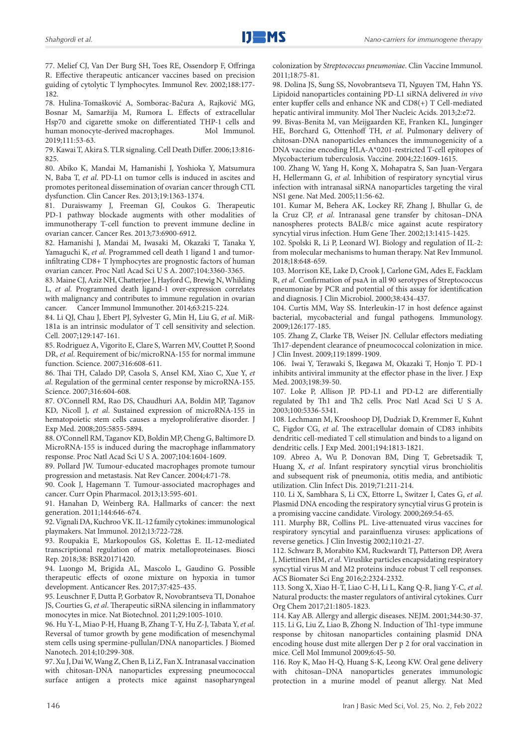77. Melief CJ, Van Der Burg SH, Toes RE, Ossendorp F, Offringa R. Effective therapeutic anticancer vaccines based on precision guiding of cytolytic T lymphocytes. Immunol Rev. 2002;188:177- 182.

78. Hulina-Tomašković A, Somborac-Bačura A, Rajković MG, Bosnar M, Samaržija M, Rumora L. Effects of extracellular Hsp70 and cigarette smoke on differentiated THP-1 cells and human monocyte-derived macrophages. Mol Immunol. 2019;111:53-63.

79. Kawai T, Akira S. TLR signaling. Cell Death Differ. 2006;13:816- 825.

80. Abiko K, Mandai M, Hamanishi J, Yoshioka Y, Matsumura N, Baba T, *et al*. PD-L1 on tumor cells is induced in ascites and promotes peritoneal dissemination of ovarian cancer through CTL dysfunction. Clin Cancer Res. 2013;19:1363-1374.

81. Duraiswamy J, Freeman GJ, Coukos G. Therapeutic PD-1 pathway blockade augments with other modalities of immunotherapy T-cell function to prevent immune decline in ovarian cancer. Cancer Res. 2013;73:6900-6912.

82. Hamanishi J, Mandai M, Iwasaki M, Okazaki T, Tanaka Y, Yamaguchi K, *et al*. Programmed cell death 1 ligand 1 and tumorinfiltrating CD8+ T lymphocytes are prognostic factors of human ovarian cancer. Proc Natl Acad Sci U S A. 2007;104:3360-3365.

83. Maine CJ, Aziz NH, Chatterjee J, Hayford C, Brewig N, Whilding L, *et al*. Programmed death ligand-1 over-expression correlates with malignancy and contributes to immune regulation in ovarian cancer. Cancer Immunol Immunother. 2014;63:215-224.

84. Li QJ, Chau J, Ebert PJ, Sylvester G, Min H, Liu G, *et al*. MiR-181a is an intrinsic modulator of T cell sensitivity and selection. Cell. 2007;129:147-161.

85. Rodriguez A, Vigorito E, Clare S, Warren MV, Couttet P, Soond DR, *et al*. Requirement of bic/microRNA-155 for normal immune function. Science. 2007;316:608-611.

86. Thai TH, Calado DP, Casola S, Ansel KM, Xiao C, Xue Y, *et al*. Regulation of the germinal center response by microRNA-155. Science. 2007;316:604-608.

87. O'Connell RM, Rao DS, Chaudhuri AA, Boldin MP, Taganov KD, Nicoll J, *et al*. Sustained expression of microRNA-155 in hematopoietic stem cells causes a myeloproliferative disorder. J Exp Med. 2008;205:5855-5894.

88. O'Connell RM, Taganov KD, Boldin MP, Cheng G, Baltimore D. MicroRNA-155 is induced during the macrophage inflammatory response. Proc Natl Acad Sci U S A. 2007;104:1604-1609.

89. Pollard JW. Tumour-educated macrophages promote tumour progression and metastasis. Nat Rev Cancer. 2004;4:71-78.

90. Cook J, Hagemann T. Tumour-associated macrophages and cancer. Curr Opin Pharmacol. 2013;13:595-601.

91. Hanahan D, Weinberg RA. Hallmarks of cancer: the next generation. 2011;144:646-674.

92. Vignali DA, Kuchroo VK. IL-12 family cytokines: immunological playmakers. Nat Immunol. 2012;13:722-728.

93. Roupakia E, Markopoulos GS, Kolettas E. IL-12-mediated transcriptional regulation of matrix metalloproteinases. Biosci Rep. 2018;38: BSR20171420.

94. Luongo M, Brigida AL, Mascolo L, Gaudino G. Possible therapeutic effects of ozone mixture on hypoxia in tumor development. Anticancer Res. 2017;37:425-435.

95. Leuschner F, Dutta P, Gorbatov R, Novobrantseva TI, Donahoe JS, Courties G, *et al*. Therapeutic siRNA silencing in inflammatory monocytes in mice. Nat Biotechnol. 2011;29:1005-1010.

96. Hu Y-L, Miao P-H, Huang B, Zhang T-Y, Hu Z-J, Tabata Y, *et al*. Reversal of tumor growth by gene modification of mesenchymal stem cells using spermine-pullulan/DNA nanoparticles. J Biomed Nanotech. 2014;10:299-308.

97. Xu J, Dai W, Wang Z, Chen B, Li Z, Fan X. Intranasal vaccination with chitosan-DNA nanoparticles expressing pneumococcal surface antigen a protects mice against nasopharyngeal colonization by *Streptococcus pneumoniae*. Clin Vaccine Immunol. 2011;18:75-81.

98. Dolina JS, Sung SS, Novobrantseva TI, Nguyen TM, Hahn YS. Lipidoid nanoparticles containing PD-L1 siRNA delivered *in vivo*  enter kupffer cells and enhance NK and CD8(+) T Cell-mediated hepatic antiviral immunity. Mol Ther Nucleic Acids. 2013;2:e72.

99. Bivas-Benita M, van Meijgaarden KE, Franken KL, Junginger HE, Borchard G, Ottenhoff TH, *et al*. Pulmonary delivery of chitosan-DNA nanoparticles enhances the immunogenicity of a DNA vaccine encoding HLA-A\*0201-restricted T-cell epitopes of Mycobacterium tuberculosis. Vaccine. 2004;22:1609-1615.

100. Zhang W, Yang H, Kong X, Mohapatra S, San Juan-Vergara H, Hellermann G, *et al*. Inhibition of respiratory syncytial virus infection with intranasal siRNA nanoparticles targeting the viral NS1 gene. Nat Med. 2005;11:56-62.

101. Kumar M, Behera AK, Lockey RF, Zhang J, Bhullar G, de la Cruz CP, *et al*. Intranasal gene transfer by chitosan–DNA nanospheres protects BALB/c mice against acute respiratory syncytial virus infection. Hum Gene Ther. 2002;13:1415-1425.

102. Spolski R, Li P, Leonard WJ. Biology and regulation of IL-2: from molecular mechanisms to human therapy. Nat Rev Immunol. 2018;18:648-659.

103. Morrison KE, Lake D, Crook J, Carlone GM, Ades E, Facklam R, *et al*. Confirmation of psaA in all 90 serotypes of Streptococcus pneumoniae by PCR and potential of this assay for identification and diagnosis. J Clin Microbiol. 2000;38:434-437.

104. Curtis MM, Way SS. Interleukin-17 in host defence against bacterial, mycobacterial and fungal pathogens. Immunology. 2009;126:177-185.

105. Zhang Z, Clarke TB, Weiser JN. Cellular effectors mediating Th17-dependent clearance of pneumococcal colonization in mice. J Clin Invest. 2009;119:1899-1909.

106. Iwai Y, Terawaki S, Ikegawa M, Okazaki T, Honjo T. PD-1 inhibits antiviral immunity at the effector phase in the liver. J Exp Med. 2003;198:39-50.

107. Loke P, Allison JP. PD-L1 and PD-L2 are differentially regulated by Th1 and Th2 cells. Proc Natl Acad Sci U S A. 2003;100:5336-5341.

108. Lechmann M, Krooshoop DJ, Dudziak D, Kremmer E, Kuhnt C, Figdor CG, *et al*. The extracellular domain of CD83 inhibits dendritic cell-mediated T cell stimulation and binds to a ligand on dendritic cells. J Exp Med. 2001;194:1813-1821.

109. Abreo A, Wu P, Donovan BM, Ding T, Gebretsadik T, Huang X, *et al*. Infant respiratory syncytial virus bronchiolitis and subsequent risk of pneumonia, otitis media, and antibiotic utilization. Clin Infect Dis. 2019;71:211-214.

110. Li X, Sambhara S, Li CX, Ettorre L, Switzer I, Cates G, *et al*. Plasmid DNA encoding the respiratory syncytial virus G protein is a promising vaccine candidate. Virology. 2000;269:54-65.

111. Murphy BR, Collins PL. Live-attenuated virus vaccines for respiratory syncytial and parainfluenza viruses: applications of reverse genetics. J Clin Investig 2002;110:21-27.

112. Schwarz B, Morabito KM, Ruckwardt TJ, Patterson DP, Avera J, Miettinen HM, *et al*. Viruslike particles encapsidating respiratory syncytial virus M and M2 proteins induce robust T cell responses. ACS Biomater Sci Eng 2016;2:2324-2332.

113. Song X, Xiao H-T, Liao C-H, Li L, Kang Q-R, Jiang Y-C, *et al*. Natural products: the master regulators of antiviral cytokines. Curr Org Chem 2017;21:1805-1823.

114. Kay AB. Allergy and allergic diseases. NEJM. 2001;344:30-37. 115. Li G, Liu Z, Liao B, Zhong N. Induction of Th1-type immune response by chitosan nanoparticles containing plasmid DNA encoding house dust mite allergen Der p 2 for oral vaccination in mice. Cell Mol Immunol 2009;6:45-50.

116. Roy K, Mao H-Q, Huang S-K, Leong KW. Oral gene delivery with chitosan–DNA nanoparticles generates immunologic protection in a murine model of peanut allergy. Nat Med